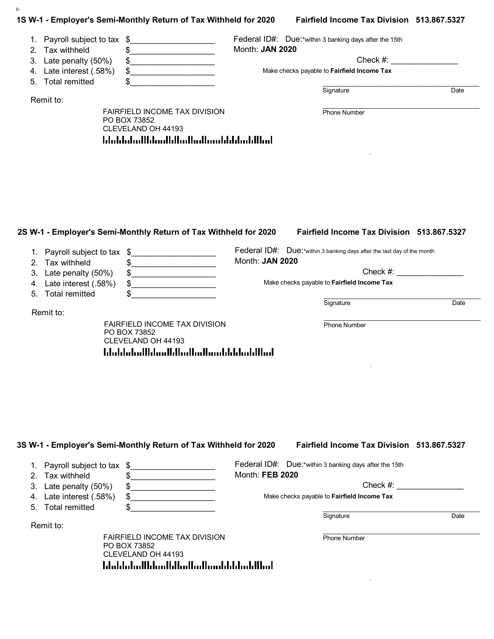|          |                                                  | 1S W-1 - Employer's Semi-Monthly Return of Tax Withheld for 2020     |                 | Fairfield Income Tax Division 513.867.5327                              |                     |
|----------|--------------------------------------------------|----------------------------------------------------------------------|-----------------|-------------------------------------------------------------------------|---------------------|
|          | 1. Payroll subject to tax<br>2. Tax withheld     | \$<br>.<br>\$<br><u>.</u>                                            | Month: JAN 2020 | Federal ID#: Due:*within 3 banking days after the 15th                  |                     |
| 3.       | Late penalty (50%)                               | \$                                                                   |                 | Check #:                                                                |                     |
| 4.<br>5. | Late interest (.58%)<br><b>Total remitted</b>    | $\frac{1}{2}$<br>.                                                   |                 | Make checks payable to Fairfield Income Tax                             |                     |
|          | Remit to:                                        |                                                                      |                 | Signature                                                               | Date                |
|          |                                                  | FAIRFIELD INCOME TAX DIVISION<br>PO BOX 73852<br>CLEVELAND OH 44193  |                 | Phone Number                                                            |                     |
|          |                                                  |                                                                      |                 |                                                                         |                     |
|          |                                                  |                                                                      |                 |                                                                         |                     |
|          |                                                  | 2S W-1 - Employer's Semi-Monthly Return of Tax Withheld for 2020     |                 | Fairfield Income Tax Division 513.867.5327                              |                     |
|          | 1. Payroll subject to tax                        | $\boldsymbol{\hat{\phi}}$<br><u> 1980 - Johann Barbara, martin a</u> | Month: JAN 2020 | Federal ID#: Due:*within 3 banking days after the last day of the month |                     |
|          | 2. Tax withheld                                  | \$<br><u> 1990 - Johann Barbara, martin a</u>                        |                 |                                                                         |                     |
|          | 3. Late penalty (50%)<br>4. Late interest (.58%) | \$<br>\$                                                             |                 | Make checks payable to Fairfield Income Tax                             |                     |
|          | 5. Total remitted                                | \$                                                                   |                 | Signature                                                               |                     |
|          | Remit to:                                        |                                                                      |                 |                                                                         | $Check \#:$<br>Date |

Signature Date

| 1. Payroll subject to tax \$ |      | Federal ID#: Due:*within 3 banking days after the 15th |
|------------------------------|------|--------------------------------------------------------|
| 2. Tax withheld              |      | Month: FEB 2020                                        |
| 3. Late penalty (50%)        | - \$ | Check $#$ :                                            |
| 4. Late interest (.58%)      |      | Make checks payable to Fairfield Income Tax            |
| 5. Total remitted            |      |                                                        |

Remit to:

S-

FAIRFIELD INCOME TAX DIVISION PO BOX 73852 CLEVELAND OH 44193 hhabhaallahaallahaallaahaahabhaaldhaal

 $\mathcal{L}_\text{max} = \mathcal{L}_\text{max} = \mathcal{L}_\text{max} = \mathcal{L}_\text{max} = \mathcal{L}_\text{max} = \mathcal{L}_\text{max} = \mathcal{L}_\text{max} = \mathcal{L}_\text{max} = \mathcal{L}_\text{max} = \mathcal{L}_\text{max} = \mathcal{L}_\text{max} = \mathcal{L}_\text{max} = \mathcal{L}_\text{max} = \mathcal{L}_\text{max} = \mathcal{L}_\text{max} = \mathcal{L}_\text{max} = \mathcal{L}_\text{max} = \mathcal{L}_\text{max} = \mathcal{$ Phone Number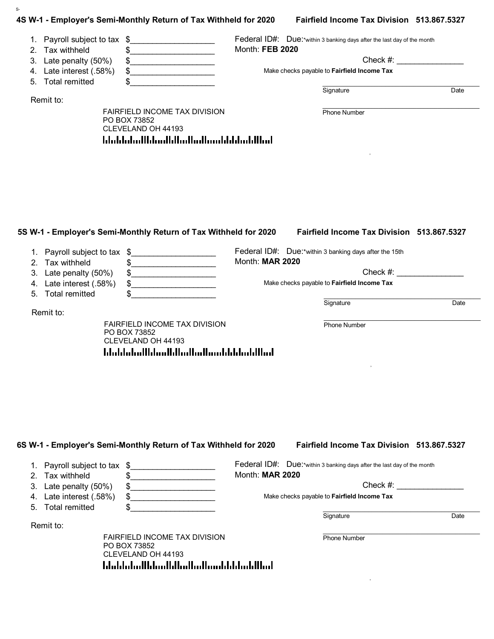|                | 1. Payroll subject to tax | \$                                                                                                                                       |                 | Federal ID#: Due:*within 3 banking days after the last day of the month |                             |
|----------------|---------------------------|------------------------------------------------------------------------------------------------------------------------------------------|-----------------|-------------------------------------------------------------------------|-----------------------------|
| 2 <sub>1</sub> | Tax withheld              | .                                                                                                                                        | Month: FEB 2020 |                                                                         |                             |
| 3.             | Late penalty (50%)        |                                                                                                                                          |                 |                                                                         | Check #:                    |
| 4.             | Late interest (.58%)      | \$<br><u> 1990 - Johann John Stone, mars et al. (</u>                                                                                    |                 | Make checks payable to Fairfield Income Tax                             |                             |
| 5.             | <b>Total remitted</b>     |                                                                                                                                          |                 |                                                                         |                             |
|                | Remit to:                 |                                                                                                                                          |                 | Signature                                                               | Date                        |
|                |                           | FAIRFIELD INCOME TAX DIVISION<br>PO BOX 73852                                                                                            |                 | Phone Number                                                            |                             |
|                |                           | CLEVELAND OH 44193                                                                                                                       |                 |                                                                         |                             |
|                |                           | <u>ldaldaladlldaalldladladlaaddddaddllad</u>                                                                                             |                 |                                                                         |                             |
|                |                           |                                                                                                                                          |                 |                                                                         |                             |
|                |                           |                                                                                                                                          |                 |                                                                         |                             |
|                |                           |                                                                                                                                          |                 |                                                                         |                             |
|                |                           |                                                                                                                                          |                 |                                                                         |                             |
|                |                           |                                                                                                                                          |                 |                                                                         |                             |
|                |                           |                                                                                                                                          |                 |                                                                         |                             |
|                |                           |                                                                                                                                          |                 |                                                                         |                             |
|                |                           |                                                                                                                                          |                 |                                                                         |                             |
|                |                           |                                                                                                                                          |                 |                                                                         |                             |
|                |                           |                                                                                                                                          |                 |                                                                         |                             |
|                |                           | 5S W-1 - Employer's Semi-Monthly Return of Tax Withheld for 2020                                                                         |                 | Fairfield Income Tax Division 513.867.5327                              |                             |
|                | Payroll subject to tax    | $\mathfrak{F}$                                                                                                                           |                 | Federal ID#: Due:*within 3 banking days after the 15th                  |                             |
| 2.             | Tax withheld              | \$.                                                                                                                                      | Month: MAR 2020 |                                                                         |                             |
| 3.             | Late penalty (50%)        | <u>.</u><br>\$<br><u> 1990 - Johann John Stoff, mars ar breithinn ar breithinn ar breithinn ar breithinn ar breithinn ar breithinn a</u> |                 |                                                                         | $Check \#:\n  \blacksquare$ |
| 4.             | Late interest (.58%)      | \$<br>.                                                                                                                                  |                 | Make checks payable to Fairfield Income Tax                             |                             |
| 5.             | <b>Total remitted</b>     |                                                                                                                                          |                 |                                                                         |                             |
|                |                           |                                                                                                                                          |                 | Signature                                                               | Date                        |
|                | Remit to:                 | FAIRFIELD INCOME TAX DIVISION                                                                                                            |                 | <b>Phone Number</b>                                                     |                             |

CLEVELAND OH 44193

blobbolodthloodhloottodhoobhbbolottbol

1. Payroll subject to tax \$ 2. Tax withheld 3. Late penalty (50%) 4. Late interest (.58%) 5. Total remitted Federal ID#: Due:\*within 3 banking days after the last day of the month Month: **MAR 2020** Check #: Make checks payable to **Fairfield Income Tax**  $\frac{1}{2}$  $\mathfrak s$  $\mathfrak s$ \$\_\_\_\_\_\_\_\_\_\_\_\_\_\_\_\_\_\_\_ \$\_\_\_\_\_\_\_\_\_\_\_\_\_\_\_\_\_\_\_ \_\_\_\_\_\_\_\_\_\_\_\_\_\_\_\_\_\_\_\_\_\_\_\_\_\_\_\_\_\_\_\_\_\_\_\_\_\_\_\_\_\_\_\_\_

Signature Date

Remit to:

S-

FAIRFIELD INCOME TAX DIVISION PO BOX 73852 CLEVELAND OH 44193 blobbolodlidoodlidoollidooblidooblibol

 $\mathcal{L}_\text{max} = \mathcal{L}_\text{max} = \mathcal{L}_\text{max} = \mathcal{L}_\text{max} = \mathcal{L}_\text{max} = \mathcal{L}_\text{max} = \mathcal{L}_\text{max} = \mathcal{L}_\text{max} = \mathcal{L}_\text{max} = \mathcal{L}_\text{max} = \mathcal{L}_\text{max} = \mathcal{L}_\text{max} = \mathcal{L}_\text{max} = \mathcal{L}_\text{max} = \mathcal{L}_\text{max} = \mathcal{L}_\text{max} = \mathcal{L}_\text{max} = \mathcal{L}_\text{max} = \mathcal{$ Phone Number

, and the state of the state of the state of the state of the state of the state of the state of the state of

, where  $\mathcal{L}$  is the set of  $\mathcal{L}$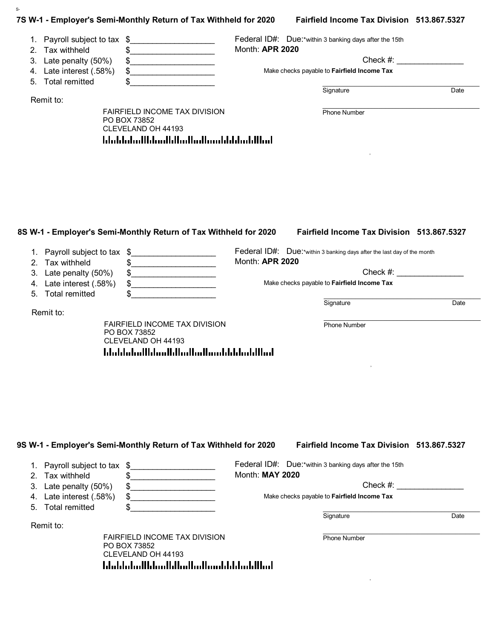|    |                                            | 7S W-1 - Employer's Semi-Monthly Return of Tax Withheld for 2020                                                                                                                                                                                                                                                                                                                                                                            |                 | Fairfield Income Tax Division 513.867.5327                              |               |
|----|--------------------------------------------|---------------------------------------------------------------------------------------------------------------------------------------------------------------------------------------------------------------------------------------------------------------------------------------------------------------------------------------------------------------------------------------------------------------------------------------------|-----------------|-------------------------------------------------------------------------|---------------|
| 2. | 1. Payroll subject to tax<br>Tax withheld  | \$<br><u> 1990 - Johann Barbara, martin a</u><br>\$<br>.                                                                                                                                                                                                                                                                                                                                                                                    | Month: APR 2020 | Federal ID#: Due:*within 3 banking days after the 15th                  |               |
|    | 3. Late penalty (50%)                      | \$<br>$\begin{array}{cccccccccc} \hline \textbf{1} & \textbf{1} & \textbf{1} & \textbf{1} & \textbf{1} & \textbf{1} & \textbf{1} & \textbf{1} & \textbf{1} & \textbf{1} & \textbf{1} & \textbf{1} & \textbf{1} & \textbf{1} & \textbf{1} & \textbf{1} & \textbf{1} & \textbf{1} & \textbf{1} & \textbf{1} & \textbf{1} & \textbf{1} & \textbf{1} & \textbf{1} & \textbf{1} & \textbf{1} & \textbf{1} & \textbf{1} & \textbf{1} & \textbf{1$ |                 |                                                                         | $Check \#:$   |
| 4. | Late interest (.58%)                       | $\frac{1}{2}$                                                                                                                                                                                                                                                                                                                                                                                                                               |                 | Make checks payable to Fairfield Income Tax                             |               |
| 5. | <b>Total remitted</b>                      | \$                                                                                                                                                                                                                                                                                                                                                                                                                                          |                 |                                                                         |               |
|    | Remit to:                                  |                                                                                                                                                                                                                                                                                                                                                                                                                                             |                 | Signature                                                               | Date          |
|    |                                            | FAIRFIELD INCOME TAX DIVISION<br>PO BOX 73852<br>CLEVELAND OH 44193                                                                                                                                                                                                                                                                                                                                                                         |                 | <b>Phone Number</b>                                                     |               |
|    |                                            |                                                                                                                                                                                                                                                                                                                                                                                                                                             |                 |                                                                         |               |
|    |                                            | 8S W-1 - Employer's Semi-Monthly Return of Tax Withheld for 2020                                                                                                                                                                                                                                                                                                                                                                            |                 | Fairfield Income Tax Division 513.867.5327                              |               |
|    | 1. Payroll subject to tax                  | $\frac{1}{2}$<br><u> 1950 - Johann Barbara, martxa a</u>                                                                                                                                                                                                                                                                                                                                                                                    |                 | Federal ID#: Due:*within 3 banking days after the last day of the month |               |
| 3. | 2. Tax withheld                            | \$<br>\$                                                                                                                                                                                                                                                                                                                                                                                                                                    | Month: APR 2020 |                                                                         | $Check \#:\n$ |
| 4. | Late penalty (50%)<br>Late interest (.58%) | \$                                                                                                                                                                                                                                                                                                                                                                                                                                          |                 | Make checks payable to Fairfield Income Tax                             |               |
| 5. | <b>Total remitted</b><br>Remit to:         | \$                                                                                                                                                                                                                                                                                                                                                                                                                                          |                 | Signature                                                               | Date          |

 $\frac{1}{2}$  $\mathfrak s$  $\frac{1}{2}$ \$\_\_\_\_\_\_\_\_\_\_\_\_\_\_\_\_\_\_\_

Federal ID#: Due:\*within 3 banking days after the 15th Month: **MAY 2020**

\$\_\_\_\_\_\_\_\_\_\_\_\_\_\_\_\_\_\_\_ \_\_\_\_\_\_\_\_\_\_\_\_\_\_\_\_\_\_\_\_\_\_\_\_\_\_\_\_\_\_\_\_\_\_\_\_\_\_\_\_\_\_\_\_\_

Check #:

Make checks payable to **Fairfield Income Tax**

Signature Date

Remit to:

1. Payroll subject to tax \$

2. Tax withheld 3. Late penalty (50%) 4. Late interest (.58%) 5. Total remitted

S-

FAIRFIELD INCOME TAX DIVISION PO BOX 73852 CLEVELAND OH 44193 blobbolodlidoodlidoollidooblidooblibol

 $\mathcal{L}_\text{max} = \mathcal{L}_\text{max} = \mathcal{L}_\text{max} = \mathcal{L}_\text{max} = \mathcal{L}_\text{max} = \mathcal{L}_\text{max} = \mathcal{L}_\text{max} = \mathcal{L}_\text{max} = \mathcal{L}_\text{max} = \mathcal{L}_\text{max} = \mathcal{L}_\text{max} = \mathcal{L}_\text{max} = \mathcal{L}_\text{max} = \mathcal{L}_\text{max} = \mathcal{L}_\text{max} = \mathcal{L}_\text{max} = \mathcal{L}_\text{max} = \mathcal{L}_\text{max} = \mathcal{$ Phone Number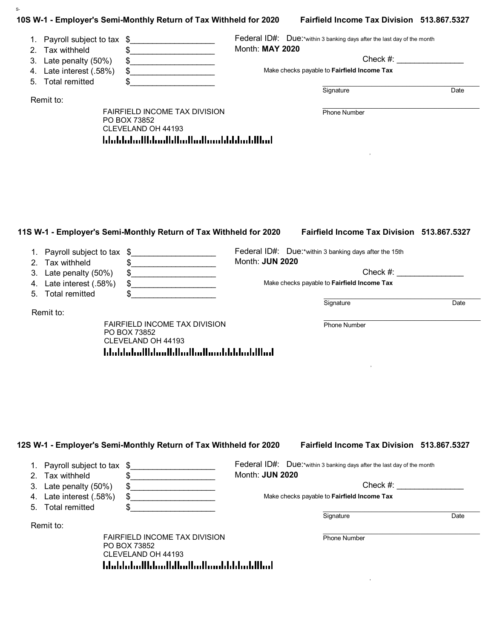| 1.<br>2. | Payroll subject to tax \$<br>Tax withheld | \$                                                                                                          | Month: MAY 2020 | Federal ID#: Due:*within 3 banking days after the last day of the month |             |
|----------|-------------------------------------------|-------------------------------------------------------------------------------------------------------------|-----------------|-------------------------------------------------------------------------|-------------|
| 3.       | Late penalty (50%)                        | \$                                                                                                          |                 |                                                                         | $Check \#:$ |
| 4.       | Late interest (.58%)                      | \$<br>the control of the control of the control of                                                          |                 | Make checks payable to Fairfield Income Tax                             |             |
| 5.       | <b>Total remitted</b>                     | \$                                                                                                          |                 | Signature                                                               | Date        |
|          | Remit to:                                 |                                                                                                             |                 |                                                                         |             |
|          |                                           | FAIRFIELD INCOME TAX DIVISION<br>PO BOX 73852<br>CLEVELAND OH 44193<br>hlubbdudlbbudblbudbudbunbbbbbubllbud |                 | <b>Phone Number</b>                                                     |             |
|          |                                           |                                                                                                             |                 |                                                                         |             |
|          |                                           | 11S W-1 - Employer's Semi-Monthly Return of Tax Withheld for 2020                                           |                 | <b>Fairfield Income Tax Division 513.867.5327</b>                       |             |
|          |                                           |                                                                                                             |                 | Federal ID#: Due:*within 3 banking days after the 15th                  |             |
| 2.       | 1. Payroll subject to tax<br>Tax withheld | \$<br>\$<br><u> 1989 - Johann Barbara, martin a</u>                                                         | Month: JUN 2020 |                                                                         |             |
| 3.       | Late penalty (50%)                        | \$<br>.                                                                                                     |                 |                                                                         | $Check \#:$ |
| 4.<br>5. | Late interest (.58%)                      | \$                                                                                                          |                 | Make checks payable to Fairfield Income Tax                             |             |
|          | <b>Total remitted</b>                     |                                                                                                             |                 | Signature                                                               | Date        |
|          | Remit to:                                 | <b>FAIRFIELD INCOME TAX DIVISION</b><br>PO BOX 73852<br>CLEVELAND OH 44193                                  |                 | <b>Phone Number</b>                                                     |             |
|          |                                           | <u>Idaldaladildaalldiadiadiaaldaldaladillad</u>                                                             |                 |                                                                         |             |

# **12S W-1 - Employer's Semi-Monthly Return of Tax Withheld for 2020 Fairfield Income Tax Division 513.867.5327**

| 1. Payroll subject to tax \$ | Federal ID#: Due:*within 3 banking days after the last day of the month |      |
|------------------------------|-------------------------------------------------------------------------|------|
| 2. Tax withheld              | Month: <b>JUN 2020</b>                                                  |      |
| 3. Late penalty (50%)        | Check $#$ :                                                             |      |
| 4. Late interest (.58%)      | Make checks payable to <b>Fairfield Income Tax</b>                      |      |
| 5. Total remitted            |                                                                         |      |
|                              | Signature                                                               | Date |

Remit to:

S-

FAIRFIELD INCOME TAX DIVISION PO BOX 73852 CLEVELAND OH 44193 blobbolodkhoodkhodkollooddddoddhol

 $\mathcal{L}_\text{max} = \mathcal{L}_\text{max} = \mathcal{L}_\text{max} = \mathcal{L}_\text{max} = \mathcal{L}_\text{max} = \mathcal{L}_\text{max} = \mathcal{L}_\text{max} = \mathcal{L}_\text{max} = \mathcal{L}_\text{max} = \mathcal{L}_\text{max} = \mathcal{L}_\text{max} = \mathcal{L}_\text{max} = \mathcal{L}_\text{max} = \mathcal{L}_\text{max} = \mathcal{L}_\text{max} = \mathcal{L}_\text{max} = \mathcal{L}_\text{max} = \mathcal{L}_\text{max} = \mathcal{$ Phone Number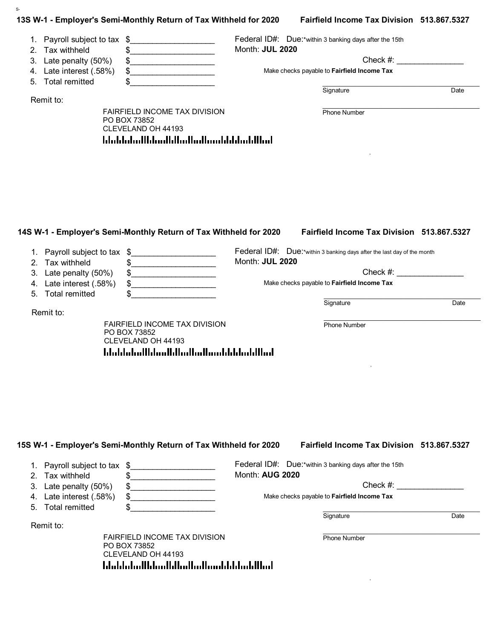| 1. Payroll subject to tax<br>\$<br>\$<br>2. Tax withheld<br>.<br>3. Late penalty (50%)<br>\$<br>Late interest (.58%)<br>\$<br>4.<br><b>Total remitted</b><br>\$<br>5.<br>Remit to:<br>FAIRFIELD INCOME TAX DIVISION | Federal ID#: Due:*within 3 banking days after the 15th<br>Month: JUL 2020<br>$Check \#:$<br>Make checks payable to Fairfield Income Tax<br>Signature<br>Date |
|---------------------------------------------------------------------------------------------------------------------------------------------------------------------------------------------------------------------|--------------------------------------------------------------------------------------------------------------------------------------------------------------|
|                                                                                                                                                                                                                     |                                                                                                                                                              |
|                                                                                                                                                                                                                     |                                                                                                                                                              |
|                                                                                                                                                                                                                     |                                                                                                                                                              |
|                                                                                                                                                                                                                     |                                                                                                                                                              |
|                                                                                                                                                                                                                     |                                                                                                                                                              |
|                                                                                                                                                                                                                     |                                                                                                                                                              |
| PO BOX 73852<br>CLEVELAND OH 44193                                                                                                                                                                                  | Phone Number                                                                                                                                                 |
|                                                                                                                                                                                                                     |                                                                                                                                                              |
| 14S W-1 - Employer's Semi-Monthly Return of Tax Withheld for 2020<br>1. Payroll subject to tax \$                                                                                                                   | Fairfield Income Tax Division 513.867.5327<br>Federal ID#: Due:*within 3 banking days after the last day of the month                                        |
| 2. Tax withheld<br>\$                                                                                                                                                                                               | Month: JUL 2020                                                                                                                                              |
| Late penalty (50%)<br>\$<br>3.                                                                                                                                                                                      | Check #:                                                                                                                                                     |
| Late interest (.58%)<br>\$<br>4.<br><u> 1980 - Johann Barbara, martin a</u>                                                                                                                                         | Make checks payable to Fairfield Income Tax                                                                                                                  |
| <b>Total remitted</b><br>5.<br>\$                                                                                                                                                                                   | Signature<br>Date                                                                                                                                            |
| Remit to:                                                                                                                                                                                                           |                                                                                                                                                              |

S-

| Month: AUG 2020                             |                                                                                                                                                                              |
|---------------------------------------------|------------------------------------------------------------------------------------------------------------------------------------------------------------------------------|
|                                             | Check $#$ :                                                                                                                                                                  |
| Make checks payable to Fairfield Income Tax |                                                                                                                                                                              |
|                                             |                                                                                                                                                                              |
| Signature                                   | Date                                                                                                                                                                         |
|                                             |                                                                                                                                                                              |
| <b>Phone Number</b>                         |                                                                                                                                                                              |
|                                             | Federal ID#: Due:*within 3 banking days after the 15th<br><b>FAIRFIELD INCOME TAX DIVISION</b><br>CLEVELAND OH 44193<br><u>  haldalar   dan  dallar  adlardalar  dal  ad</u> |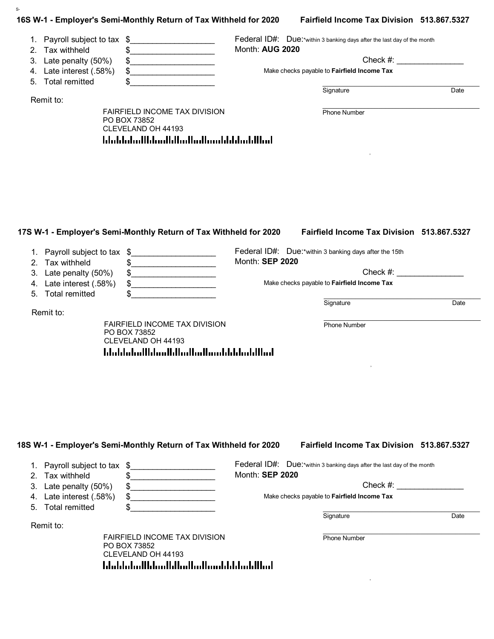| Federal ID#: Due:*within 3 banking days after the last day of the month<br>1. Payroll subject to tax \$<br>Month: AUG 2020<br>2. Tax withheld<br>\$<br>.<br>Check #:<br>\$<br>Late interest (.58%)<br>$\begin{array}{c c c c c c} \hline \texttt{S} & \texttt{S} & \texttt{S} & \texttt{S} & \texttt{S} & \texttt{S} & \texttt{S} & \texttt{S} & \texttt{S} & \texttt{S} & \texttt{S} & \texttt{S} & \texttt{S} & \texttt{S} & \texttt{S} & \texttt{S} & \texttt{S} & \texttt{S} & \texttt{S} & \texttt{S} & \texttt{S} & \texttt{S} & \texttt{S} & \texttt{S} & \texttt{S} & \texttt{S} & \texttt{S} & \texttt{S} & \texttt{$<br>Make checks payable to Fairfield Income Tax<br><b>Total remitted</b><br>\$<br>Signature<br>FAIRFIELD INCOME TAX DIVISION<br><b>Phone Number</b><br>PO BOX 73852<br>CLEVELAND OH 44193<br><u> Idaldaladildaallilladladinaddildadillad</u><br>Fairfield Income Tax Division 513.867.5327<br>Federal ID#: Due:*within 3 banking days after the 15th<br><u> 1990 - Johann Barbara, martxa alemani</u> ar a<br>Month: SEP 2020<br>Tax withheld<br><u> 1989 - Johann Barbara, martin a</u><br>$Check \#:\n  \blacksquare$<br>Late penalty (50%)<br>$\frac{1}{2}$<br>Make checks payable to Fairfield Income Tax<br>Late interest (.58%)<br>$\frac{1}{2}$<br><b>Total remitted</b><br>\$<br>Signature<br><b>FAIRFIELD INCOME TAX DIVISION</b><br><b>Phone Number</b><br>PO BOX 73852<br>CLEVELAND OH 44193 |  |  |      |
|---------------------------------------------------------------------------------------------------------------------------------------------------------------------------------------------------------------------------------------------------------------------------------------------------------------------------------------------------------------------------------------------------------------------------------------------------------------------------------------------------------------------------------------------------------------------------------------------------------------------------------------------------------------------------------------------------------------------------------------------------------------------------------------------------------------------------------------------------------------------------------------------------------------------------------------------------------------------------------------------------------------------------------------------------------------------------------------------------------------------------------------------------------------------------------------------------------------------------------------------------------------------------------------------------------------------------------------------------------------------------------------------------------------------------------------|--|--|------|
| 3. Late penalty (50%)                                                                                                                                                                                                                                                                                                                                                                                                                                                                                                                                                                                                                                                                                                                                                                                                                                                                                                                                                                                                                                                                                                                                                                                                                                                                                                                                                                                                                 |  |  |      |
|                                                                                                                                                                                                                                                                                                                                                                                                                                                                                                                                                                                                                                                                                                                                                                                                                                                                                                                                                                                                                                                                                                                                                                                                                                                                                                                                                                                                                                       |  |  |      |
| 4.<br>5.<br>Remit to:<br>17S W-1 - Employer's Semi-Monthly Return of Tax Withheld for 2020<br>1. Payroll subject to tax \$<br>2.<br>3.<br>4.<br>5.<br>Remit to:                                                                                                                                                                                                                                                                                                                                                                                                                                                                                                                                                                                                                                                                                                                                                                                                                                                                                                                                                                                                                                                                                                                                                                                                                                                                       |  |  |      |
|                                                                                                                                                                                                                                                                                                                                                                                                                                                                                                                                                                                                                                                                                                                                                                                                                                                                                                                                                                                                                                                                                                                                                                                                                                                                                                                                                                                                                                       |  |  |      |
|                                                                                                                                                                                                                                                                                                                                                                                                                                                                                                                                                                                                                                                                                                                                                                                                                                                                                                                                                                                                                                                                                                                                                                                                                                                                                                                                                                                                                                       |  |  |      |
|                                                                                                                                                                                                                                                                                                                                                                                                                                                                                                                                                                                                                                                                                                                                                                                                                                                                                                                                                                                                                                                                                                                                                                                                                                                                                                                                                                                                                                       |  |  | Date |
|                                                                                                                                                                                                                                                                                                                                                                                                                                                                                                                                                                                                                                                                                                                                                                                                                                                                                                                                                                                                                                                                                                                                                                                                                                                                                                                                                                                                                                       |  |  |      |
|                                                                                                                                                                                                                                                                                                                                                                                                                                                                                                                                                                                                                                                                                                                                                                                                                                                                                                                                                                                                                                                                                                                                                                                                                                                                                                                                                                                                                                       |  |  |      |
|                                                                                                                                                                                                                                                                                                                                                                                                                                                                                                                                                                                                                                                                                                                                                                                                                                                                                                                                                                                                                                                                                                                                                                                                                                                                                                                                                                                                                                       |  |  |      |
|                                                                                                                                                                                                                                                                                                                                                                                                                                                                                                                                                                                                                                                                                                                                                                                                                                                                                                                                                                                                                                                                                                                                                                                                                                                                                                                                                                                                                                       |  |  |      |
|                                                                                                                                                                                                                                                                                                                                                                                                                                                                                                                                                                                                                                                                                                                                                                                                                                                                                                                                                                                                                                                                                                                                                                                                                                                                                                                                                                                                                                       |  |  |      |
|                                                                                                                                                                                                                                                                                                                                                                                                                                                                                                                                                                                                                                                                                                                                                                                                                                                                                                                                                                                                                                                                                                                                                                                                                                                                                                                                                                                                                                       |  |  |      |
|                                                                                                                                                                                                                                                                                                                                                                                                                                                                                                                                                                                                                                                                                                                                                                                                                                                                                                                                                                                                                                                                                                                                                                                                                                                                                                                                                                                                                                       |  |  |      |
|                                                                                                                                                                                                                                                                                                                                                                                                                                                                                                                                                                                                                                                                                                                                                                                                                                                                                                                                                                                                                                                                                                                                                                                                                                                                                                                                                                                                                                       |  |  |      |
|                                                                                                                                                                                                                                                                                                                                                                                                                                                                                                                                                                                                                                                                                                                                                                                                                                                                                                                                                                                                                                                                                                                                                                                                                                                                                                                                                                                                                                       |  |  |      |
|                                                                                                                                                                                                                                                                                                                                                                                                                                                                                                                                                                                                                                                                                                                                                                                                                                                                                                                                                                                                                                                                                                                                                                                                                                                                                                                                                                                                                                       |  |  |      |
|                                                                                                                                                                                                                                                                                                                                                                                                                                                                                                                                                                                                                                                                                                                                                                                                                                                                                                                                                                                                                                                                                                                                                                                                                                                                                                                                                                                                                                       |  |  |      |
|                                                                                                                                                                                                                                                                                                                                                                                                                                                                                                                                                                                                                                                                                                                                                                                                                                                                                                                                                                                                                                                                                                                                                                                                                                                                                                                                                                                                                                       |  |  |      |
|                                                                                                                                                                                                                                                                                                                                                                                                                                                                                                                                                                                                                                                                                                                                                                                                                                                                                                                                                                                                                                                                                                                                                                                                                                                                                                                                                                                                                                       |  |  |      |
|                                                                                                                                                                                                                                                                                                                                                                                                                                                                                                                                                                                                                                                                                                                                                                                                                                                                                                                                                                                                                                                                                                                                                                                                                                                                                                                                                                                                                                       |  |  |      |
|                                                                                                                                                                                                                                                                                                                                                                                                                                                                                                                                                                                                                                                                                                                                                                                                                                                                                                                                                                                                                                                                                                                                                                                                                                                                                                                                                                                                                                       |  |  |      |
|                                                                                                                                                                                                                                                                                                                                                                                                                                                                                                                                                                                                                                                                                                                                                                                                                                                                                                                                                                                                                                                                                                                                                                                                                                                                                                                                                                                                                                       |  |  |      |
|                                                                                                                                                                                                                                                                                                                                                                                                                                                                                                                                                                                                                                                                                                                                                                                                                                                                                                                                                                                                                                                                                                                                                                                                                                                                                                                                                                                                                                       |  |  |      |
|                                                                                                                                                                                                                                                                                                                                                                                                                                                                                                                                                                                                                                                                                                                                                                                                                                                                                                                                                                                                                                                                                                                                                                                                                                                                                                                                                                                                                                       |  |  |      |
|                                                                                                                                                                                                                                                                                                                                                                                                                                                                                                                                                                                                                                                                                                                                                                                                                                                                                                                                                                                                                                                                                                                                                                                                                                                                                                                                                                                                                                       |  |  |      |
|                                                                                                                                                                                                                                                                                                                                                                                                                                                                                                                                                                                                                                                                                                                                                                                                                                                                                                                                                                                                                                                                                                                                                                                                                                                                                                                                                                                                                                       |  |  |      |
|                                                                                                                                                                                                                                                                                                                                                                                                                                                                                                                                                                                                                                                                                                                                                                                                                                                                                                                                                                                                                                                                                                                                                                                                                                                                                                                                                                                                                                       |  |  |      |
|                                                                                                                                                                                                                                                                                                                                                                                                                                                                                                                                                                                                                                                                                                                                                                                                                                                                                                                                                                                                                                                                                                                                                                                                                                                                                                                                                                                                                                       |  |  |      |
|                                                                                                                                                                                                                                                                                                                                                                                                                                                                                                                                                                                                                                                                                                                                                                                                                                                                                                                                                                                                                                                                                                                                                                                                                                                                                                                                                                                                                                       |  |  |      |
|                                                                                                                                                                                                                                                                                                                                                                                                                                                                                                                                                                                                                                                                                                                                                                                                                                                                                                                                                                                                                                                                                                                                                                                                                                                                                                                                                                                                                                       |  |  |      |
|                                                                                                                                                                                                                                                                                                                                                                                                                                                                                                                                                                                                                                                                                                                                                                                                                                                                                                                                                                                                                                                                                                                                                                                                                                                                                                                                                                                                                                       |  |  |      |
|                                                                                                                                                                                                                                                                                                                                                                                                                                                                                                                                                                                                                                                                                                                                                                                                                                                                                                                                                                                                                                                                                                                                                                                                                                                                                                                                                                                                                                       |  |  |      |
|                                                                                                                                                                                                                                                                                                                                                                                                                                                                                                                                                                                                                                                                                                                                                                                                                                                                                                                                                                                                                                                                                                                                                                                                                                                                                                                                                                                                                                       |  |  |      |
|                                                                                                                                                                                                                                                                                                                                                                                                                                                                                                                                                                                                                                                                                                                                                                                                                                                                                                                                                                                                                                                                                                                                                                                                                                                                                                                                                                                                                                       |  |  |      |
|                                                                                                                                                                                                                                                                                                                                                                                                                                                                                                                                                                                                                                                                                                                                                                                                                                                                                                                                                                                                                                                                                                                                                                                                                                                                                                                                                                                                                                       |  |  |      |
|                                                                                                                                                                                                                                                                                                                                                                                                                                                                                                                                                                                                                                                                                                                                                                                                                                                                                                                                                                                                                                                                                                                                                                                                                                                                                                                                                                                                                                       |  |  |      |
|                                                                                                                                                                                                                                                                                                                                                                                                                                                                                                                                                                                                                                                                                                                                                                                                                                                                                                                                                                                                                                                                                                                                                                                                                                                                                                                                                                                                                                       |  |  |      |
|                                                                                                                                                                                                                                                                                                                                                                                                                                                                                                                                                                                                                                                                                                                                                                                                                                                                                                                                                                                                                                                                                                                                                                                                                                                                                                                                                                                                                                       |  |  |      |
|                                                                                                                                                                                                                                                                                                                                                                                                                                                                                                                                                                                                                                                                                                                                                                                                                                                                                                                                                                                                                                                                                                                                                                                                                                                                                                                                                                                                                                       |  |  |      |
|                                                                                                                                                                                                                                                                                                                                                                                                                                                                                                                                                                                                                                                                                                                                                                                                                                                                                                                                                                                                                                                                                                                                                                                                                                                                                                                                                                                                                                       |  |  |      |
|                                                                                                                                                                                                                                                                                                                                                                                                                                                                                                                                                                                                                                                                                                                                                                                                                                                                                                                                                                                                                                                                                                                                                                                                                                                                                                                                                                                                                                       |  |  |      |
|                                                                                                                                                                                                                                                                                                                                                                                                                                                                                                                                                                                                                                                                                                                                                                                                                                                                                                                                                                                                                                                                                                                                                                                                                                                                                                                                                                                                                                       |  |  |      |
|                                                                                                                                                                                                                                                                                                                                                                                                                                                                                                                                                                                                                                                                                                                                                                                                                                                                                                                                                                                                                                                                                                                                                                                                                                                                                                                                                                                                                                       |  |  |      |
|                                                                                                                                                                                                                                                                                                                                                                                                                                                                                                                                                                                                                                                                                                                                                                                                                                                                                                                                                                                                                                                                                                                                                                                                                                                                                                                                                                                                                                       |  |  |      |
|                                                                                                                                                                                                                                                                                                                                                                                                                                                                                                                                                                                                                                                                                                                                                                                                                                                                                                                                                                                                                                                                                                                                                                                                                                                                                                                                                                                                                                       |  |  |      |
|                                                                                                                                                                                                                                                                                                                                                                                                                                                                                                                                                                                                                                                                                                                                                                                                                                                                                                                                                                                                                                                                                                                                                                                                                                                                                                                                                                                                                                       |  |  |      |
|                                                                                                                                                                                                                                                                                                                                                                                                                                                                                                                                                                                                                                                                                                                                                                                                                                                                                                                                                                                                                                                                                                                                                                                                                                                                                                                                                                                                                                       |  |  |      |
|                                                                                                                                                                                                                                                                                                                                                                                                                                                                                                                                                                                                                                                                                                                                                                                                                                                                                                                                                                                                                                                                                                                                                                                                                                                                                                                                                                                                                                       |  |  |      |
|                                                                                                                                                                                                                                                                                                                                                                                                                                                                                                                                                                                                                                                                                                                                                                                                                                                                                                                                                                                                                                                                                                                                                                                                                                                                                                                                                                                                                                       |  |  |      |
|                                                                                                                                                                                                                                                                                                                                                                                                                                                                                                                                                                                                                                                                                                                                                                                                                                                                                                                                                                                                                                                                                                                                                                                                                                                                                                                                                                                                                                       |  |  | Date |
|                                                                                                                                                                                                                                                                                                                                                                                                                                                                                                                                                                                                                                                                                                                                                                                                                                                                                                                                                                                                                                                                                                                                                                                                                                                                                                                                                                                                                                       |  |  |      |
|                                                                                                                                                                                                                                                                                                                                                                                                                                                                                                                                                                                                                                                                                                                                                                                                                                                                                                                                                                                                                                                                                                                                                                                                                                                                                                                                                                                                                                       |  |  |      |

S-

|    | 1. Payroll subject to tax \$ | Federal ID#: Due:*within 3 banking days after the last day of the month |      |
|----|------------------------------|-------------------------------------------------------------------------|------|
| 2. | Tax withheld                 | Month: <b>SEP 2020</b>                                                  |      |
|    | 3. Late penalty (50%)        | Check $#$ :                                                             |      |
|    | 4. Late interest (.58%)      | Make checks payable to Fairfield Income Tax                             |      |
|    | 5. Total remitted            |                                                                         |      |
|    |                              | Signature                                                               | Date |
|    | Remit to:                    |                                                                         |      |

FAIRFIELD INCOME TAX DIVISION PO BOX 73852 CLEVELAND OH 44193 blobbolodkhoodkhodkollooddddoddhol

 $\mathcal{L}_\text{max} = \mathcal{L}_\text{max} = \mathcal{L}_\text{max} = \mathcal{L}_\text{max} = \mathcal{L}_\text{max} = \mathcal{L}_\text{max} = \mathcal{L}_\text{max} = \mathcal{L}_\text{max} = \mathcal{L}_\text{max} = \mathcal{L}_\text{max} = \mathcal{L}_\text{max} = \mathcal{L}_\text{max} = \mathcal{L}_\text{max} = \mathcal{L}_\text{max} = \mathcal{L}_\text{max} = \mathcal{L}_\text{max} = \mathcal{L}_\text{max} = \mathcal{L}_\text{max} = \mathcal{$ Phone Number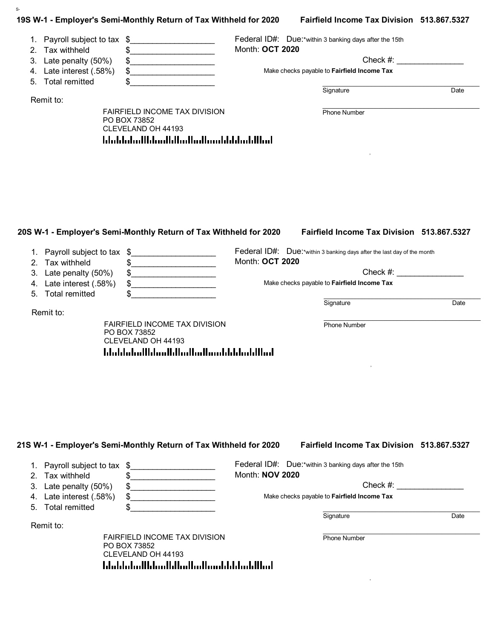|                                                    | 19S W-1 - Employer's Semi-Monthly Return of Tax Withheld for 2020 |                 | Fairfield Income Tax Division 513.867.5327                              |      |
|----------------------------------------------------|-------------------------------------------------------------------|-----------------|-------------------------------------------------------------------------|------|
| Payroll subject to tax \$<br>1.                    | .                                                                 |                 | Federal ID#: Due:*within 3 banking days after the 15th                  |      |
| Tax withheld<br>2.                                 | \$                                                                | Month: OCT 2020 |                                                                         |      |
| Late penalty (50%)<br>3.                           | \$                                                                |                 | $Check \#:$                                                             |      |
| Late interest (.58%)<br>4.                         | \$                                                                |                 | Make checks payable to Fairfield Income Tax                             |      |
| <b>Total remitted</b><br>5.                        |                                                                   |                 |                                                                         |      |
| Remit to:                                          |                                                                   |                 | Signature                                                               | Date |
|                                                    | FAIRFIELD INCOME TAX DIVISION                                     |                 | Phone Number                                                            |      |
|                                                    | PO BOX 73852                                                      |                 |                                                                         |      |
|                                                    | CLEVELAND OH 44193                                                |                 |                                                                         |      |
|                                                    | <u>ldaldaladlldaalldladladlaaddddaddllad</u>                      |                 |                                                                         |      |
|                                                    |                                                                   |                 |                                                                         |      |
|                                                    |                                                                   |                 |                                                                         |      |
|                                                    |                                                                   |                 |                                                                         |      |
|                                                    |                                                                   |                 |                                                                         |      |
|                                                    |                                                                   |                 |                                                                         |      |
|                                                    |                                                                   |                 |                                                                         |      |
|                                                    |                                                                   |                 |                                                                         |      |
| 1. Payroll subject to tax \$<br>Tax withheld<br>2. | .<br>\$                                                           | Month: OCT 2020 | Federal ID#: Due:*within 3 banking days after the last day of the month |      |
| Late penalty (50%)<br>3.                           | \$                                                                |                 | $Check \#:$                                                             |      |
| 4. Late interest (.58%)                            | \$                                                                |                 | Make checks payable to Fairfield Income Tax                             |      |
| <b>Total remitted</b><br>5.                        | \$                                                                |                 | Signature                                                               | Date |
| Remit to:                                          |                                                                   |                 |                                                                         |      |
|                                                    | FAIRFIELD INCOME TAX DIVISION                                     |                 | Phone Number                                                            |      |
|                                                    | PO BOX 73852                                                      |                 |                                                                         |      |
|                                                    | CLEVELAND OH 44193                                                |                 |                                                                         |      |
|                                                    | <u>ldaldaladildaalldladladlaaddddaladillad</u>                    |                 |                                                                         |      |
|                                                    |                                                                   |                 |                                                                         |      |
|                                                    |                                                                   |                 |                                                                         |      |
|                                                    |                                                                   |                 |                                                                         |      |
|                                                    |                                                                   |                 |                                                                         |      |
|                                                    |                                                                   |                 |                                                                         |      |
|                                                    |                                                                   |                 |                                                                         |      |
|                                                    |                                                                   |                 |                                                                         |      |
|                                                    |                                                                   |                 |                                                                         |      |
|                                                    | 21S W-1 - Employer's Semi-Monthly Return of Tax Withheld for 2020 |                 | Fairfield Income Tax Division 513.867.5327                              |      |
|                                                    |                                                                   |                 |                                                                         |      |

### 1. Payroll subject to tax \$ 2. Tax withheld 3. Late penalty (50%) Federal ID#: Due:\*within 3 banking days after the 15th Month: **NOV 2020** Check #:  $\mathfrak s$ \$\_\_\_\_\_\_\_\_\_\_\_\_\_\_\_\_\_\_\_  $\mathfrak s$

| 4. Late interest (.58%) | Make checks payable to <b>Fairfield Income Tax</b> |  |
|-------------------------|----------------------------------------------------|--|
| 5. Total remitted       |                                                    |  |

Remit to:

S-

FAIRFIELD INCOME TAX DIVISION PO BOX 73852 CLEVELAND OH 44193 hhabhaallahaallahaallaahaahabhaaldhaal

 $\mathcal{L}_\text{max} = \mathcal{L}_\text{max} = \mathcal{L}_\text{max} = \mathcal{L}_\text{max} = \mathcal{L}_\text{max} = \mathcal{L}_\text{max} = \mathcal{L}_\text{max} = \mathcal{L}_\text{max} = \mathcal{L}_\text{max} = \mathcal{L}_\text{max} = \mathcal{L}_\text{max} = \mathcal{L}_\text{max} = \mathcal{L}_\text{max} = \mathcal{L}_\text{max} = \mathcal{L}_\text{max} = \mathcal{L}_\text{max} = \mathcal{L}_\text{max} = \mathcal{L}_\text{max} = \mathcal{$ Phone Number

, and the state of the state of the state of the state of the state of the state of the state of the state of

Signature Date